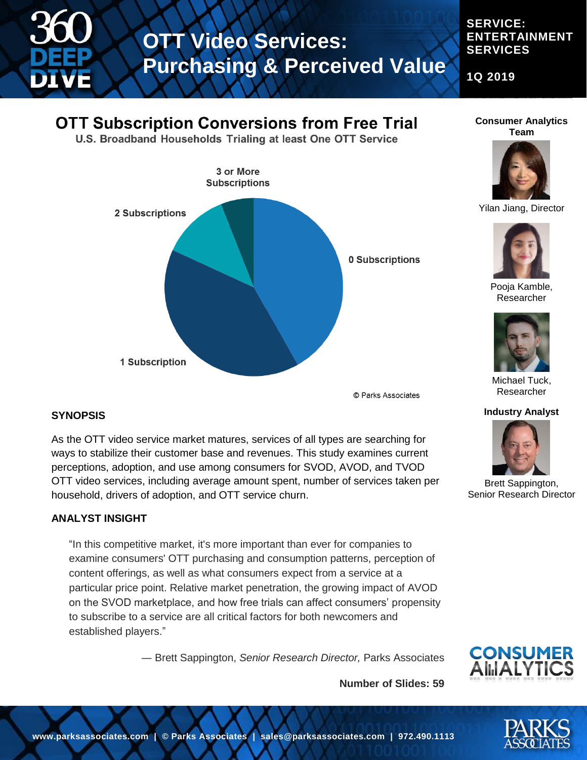

#### **SERVICE: ENTERTAINMENT SERVICES**

**1Q 2019**

### **OTT Subscription Conversions from Free Trial**

U.S. Broadband Households Trialing at least One OTT Service



© Parks Associates

**Number of Slides: 59**

#### **SYNOPSIS**

As the OTT video service market matures, services of all types are searching for ways to stabilize their customer base and revenues. This study examines current perceptions, adoption, and use among consumers for SVOD, AVOD, and TVOD OTT video services, including average amount spent, number of services taken per household, drivers of adoption, and OTT service churn.

#### **ANALYST INSIGHT**

"In this competitive market, it's more important than ever for companies to examine consumers' OTT purchasing and consumption patterns, perception of content offerings, as well as what consumers expect from a service at a particular price point. Relative market penetration, the growing impact of AVOD on the SVOD marketplace, and how free trials can affect consumers' propensity to subscribe to a service are all critical factors for both newcomers and established players."

― Brett Sappington, *Senior Research Director,* Parks Associates



**Consumer Analytics Team**



Yilan Jiang, Director



Pooja Kamble, Researcher



Michael Tuck, Researcher

#### **Industry Analyst**



Brett Sappington, Senior Research Director

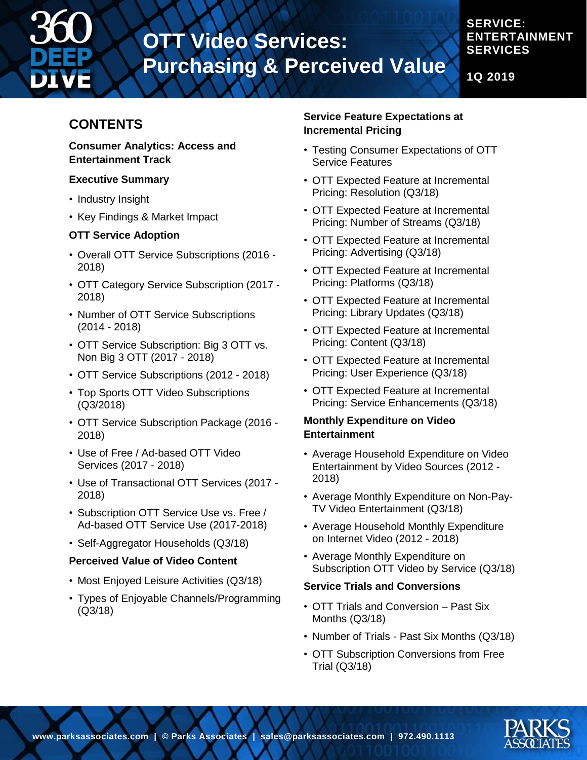

#### **SERVICE: ENTERTAINMENT SERVICES**

**1Q 2019**

### **CONTENTS**

#### **Consumer Analytics: Access and Entertainment Track**

#### **Executive Summary**

- Industry Insight
- Key Findings & Market Impact

#### **OTT Service Adoption**

- Overall OTT Service Subscriptions (2016 2018)
- OTT Category Service Subscription (2017 2018)
- Number of OTT Service Subscriptions (2014 - 2018)
- OTT Service Subscription: Big 3 OTT vs. Non Big 3 OTT (2017 - 2018)
- OTT Service Subscriptions (2012 2018)
- Top Sports OTT Video Subscriptions (Q3/2018)
- OTT Service Subscription Package (2016 2018)
- Use of Free / Ad-based OTT Video Services (2017 - 2018)
- Use of Transactional OTT Services (2017 2018)
- Subscription OTT Service Use vs. Free / Ad-based OTT Service Use (2017-2018)
- Self-Aggregator Households (Q3/18)

#### **Perceived Value of Video Content**

- Most Enjoyed Leisure Activities (Q3/18)
- Types of Enjoyable Channels/Programming (Q3/18)

#### **Service Feature Expectations at Incremental Pricing**

- Testing Consumer Expectations of OTT Service Features
- OTT Expected Feature at Incremental Pricing: Resolution (Q3/18)
- OTT Expected Feature at Incremental Pricing: Number of Streams (Q3/18)
- OTT Expected Feature at Incremental Pricing: Advertising (Q3/18)
- OTT Expected Feature at Incremental Pricing: Platforms (Q3/18)
- OTT Expected Feature at Incremental Pricing: Library Updates (Q3/18)
- OTT Expected Feature at Incremental Pricing: Content (Q3/18)
- OTT Expected Feature at Incremental Pricing: User Experience (Q3/18)
- OTT Expected Feature at Incremental Pricing: Service Enhancements (Q3/18)

#### **Monthly Expenditure on Video Entertainment**

- Average Household Expenditure on Video Entertainment by Video Sources (2012 - 2018)
- Average Monthly Expenditure on Non-Pay-TV Video Entertainment (Q3/18)
- Average Household Monthly Expenditure on Internet Video (2012 - 2018)
- Average Monthly Expenditure on Subscription OTT Video by Service (Q3/18)

#### **Service Trials and Conversions**

- OTT Trials and Conversion Past Six Months (Q3/18)
- Number of Trials Past Six Months (Q3/18)
- OTT Subscription Conversions from Free Trial (Q3/18)

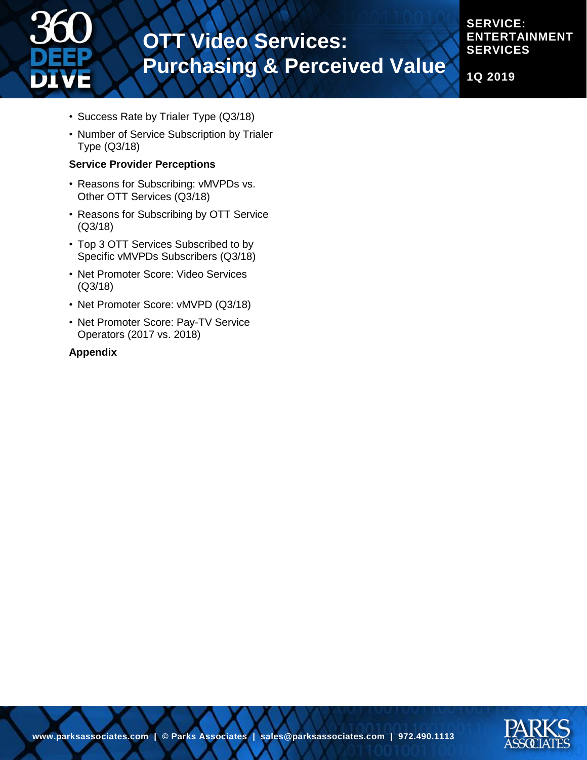

**SERVICE: ENTERTAINMENT SERVICES**

**1Q 2019**

- Success Rate by Trialer Type (Q3/18)
- Number of Service Subscription by Trialer Type (Q3/18)

#### **Service Provider Perceptions**

- Reasons for Subscribing: vMVPDs vs. Other OTT Services (Q3/18)
- Reasons for Subscribing by OTT Service (Q3/18)
- Top 3 OTT Services Subscribed to by Specific vMVPDs Subscribers (Q3/18)
- Net Promoter Score: Video Services (Q3/18)
- Net Promoter Score: vMVPD (Q3/18)
- Net Promoter Score: Pay-TV Service Operators (2017 vs. 2018)

#### **Appendix**